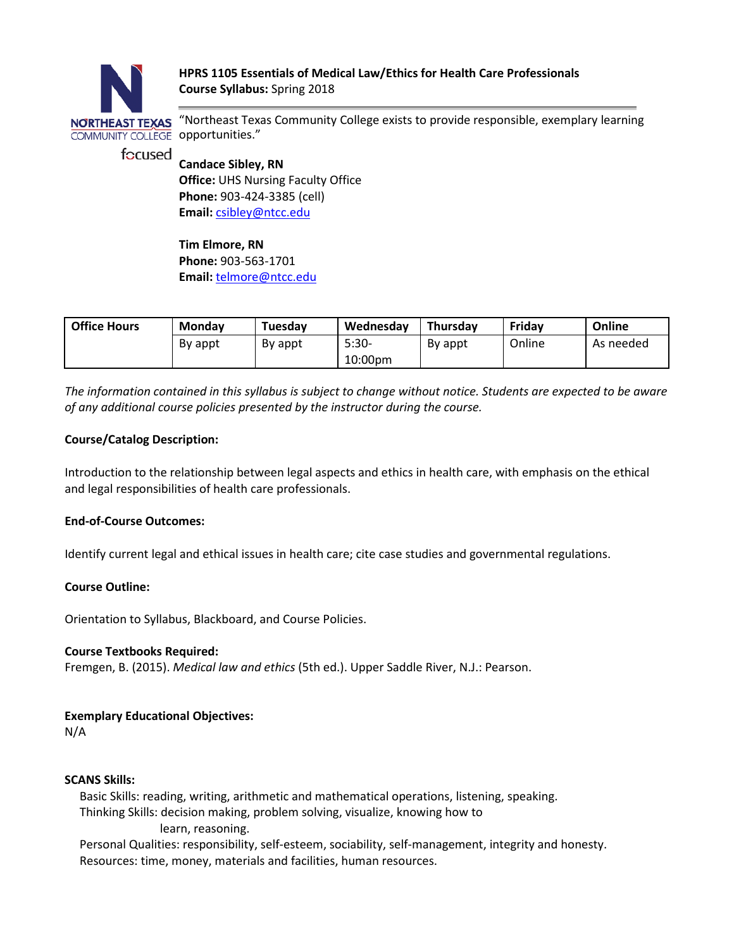

NORTHEAST TEXAS "Northeast Texas Community College exists to provide responsible, exemplary learning

**Candace Sibley, RN Office:** UHS Nursing Faculty Office **Phone:** 903-424-3385 (cell)

**Email:** [csibley@ntcc.edu](mailto:csibley@ntcc.edu)

**Tim Elmore, RN Phone:** 903-563-1701 **Email:** telmore@ntcc.edu

| <b>Office Hours</b> | <b>Monday</b> | Tuesdav | Wednesday | Thursday | Friday | Online    |
|---------------------|---------------|---------|-----------|----------|--------|-----------|
|                     | By appt       | By appt | $5:30-$   | By appt  | Online | As needed |

*The information contained in this syllabus is subject to change without notice. Students are expected to be aware of any additional course policies presented by the instructor during the course.*

10:00pm

# **Course/Catalog Description:**

Introduction to the relationship between legal aspects and ethics in health care, with emphasis on the ethical and legal responsibilities of health care professionals.

# **End-of-Course Outcomes:**

Identify current legal and ethical issues in health care; cite case studies and governmental regulations.

# **Course Outline:**

Orientation to Syllabus, Blackboard, and Course Policies.

# **Course Textbooks Required:**

Fremgen, B. (2015). *Medical law and ethics* (5th ed.). Upper Saddle River, N.J.: Pearson.

# **Exemplary Educational Objectives:**

N/A

# **SCANS Skills:**

 Basic Skills: reading, writing, arithmetic and mathematical operations, listening, speaking. Thinking Skills: decision making, problem solving, visualize, knowing how to learn, reasoning.

 Personal Qualities: responsibility, self-esteem, sociability, self-management, integrity and honesty. Resources: time, money, materials and facilities, human resources.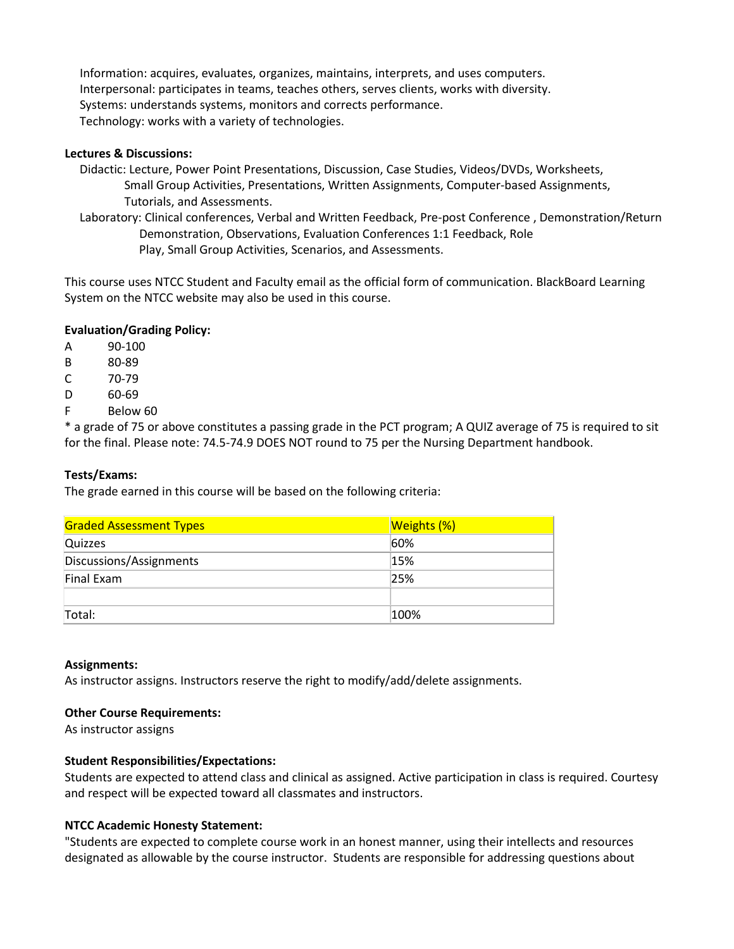Information: acquires, evaluates, organizes, maintains, interprets, and uses computers. Interpersonal: participates in teams, teaches others, serves clients, works with diversity. Systems: understands systems, monitors and corrects performance. Technology: works with a variety of technologies.

#### **Lectures & Discussions:**

- Didactic: Lecture, Power Point Presentations, Discussion, Case Studies, Videos/DVDs, Worksheets, Small Group Activities, Presentations, Written Assignments, Computer-based Assignments, Tutorials, and Assessments.
- Laboratory: Clinical conferences, Verbal and Written Feedback, Pre-post Conference , Demonstration/Return Demonstration, Observations, Evaluation Conferences 1:1 Feedback, Role Play, Small Group Activities, Scenarios, and Assessments.

This course uses NTCC Student and Faculty email as the official form of communication. BlackBoard Learning System on the NTCC website may also be used in this course.

## **Evaluation/Grading Policy:**

- A 90-100
- B 80-89
- C 70-79
- D 60-69
- F Below 60

\* a grade of 75 or above constitutes a passing grade in the PCT program; A QUIZ average of 75 is required to sit for the final. Please note: 74.5-74.9 DOES NOT round to 75 per the Nursing Department handbook.

#### **Tests/Exams:**

The grade earned in this course will be based on the following criteria:

| <b>Graded Assessment Types</b> | <b>Weights (%)</b> |  |  |
|--------------------------------|--------------------|--|--|
| <b>Quizzes</b>                 | 60%                |  |  |
| Discussions/Assignments        | 15%                |  |  |
| Final Exam                     | 25%                |  |  |
|                                |                    |  |  |
| Total:                         | 100%               |  |  |

#### **Assignments:**

As instructor assigns. Instructors reserve the right to modify/add/delete assignments.

#### **Other Course Requirements:**

As instructor assigns

#### **Student Responsibilities/Expectations:**

Students are expected to attend class and clinical as assigned. Active participation in class is required. Courtesy and respect will be expected toward all classmates and instructors.

#### **NTCC Academic Honesty Statement:**

"Students are expected to complete course work in an honest manner, using their intellects and resources designated as allowable by the course instructor. Students are responsible for addressing questions about